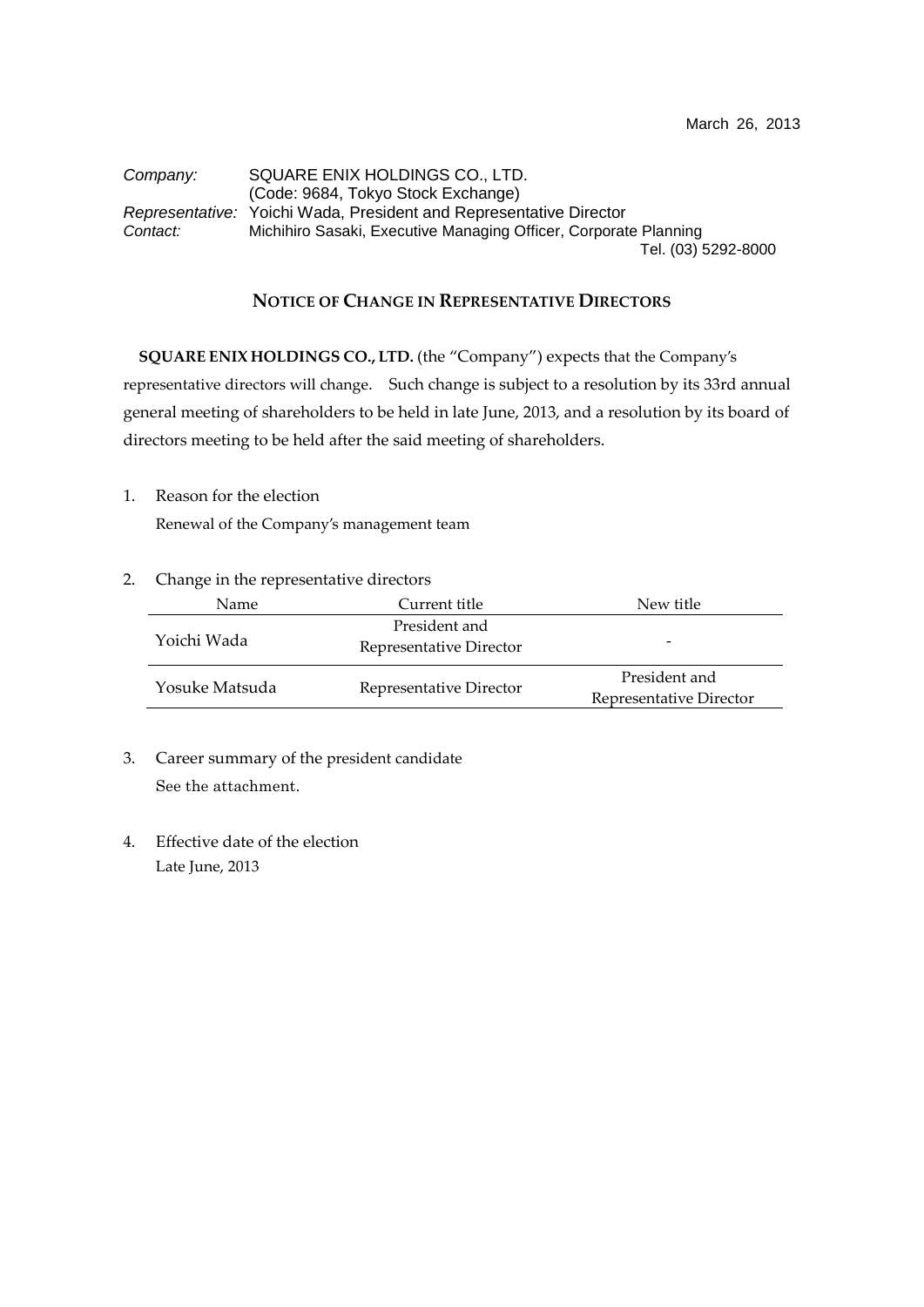## *Company:* SQUARE ENIX HOLDINGS CO., LTD. (Code: 9684, Tokyo Stock Exchange) *Representative:* Yoichi Wada, President and Representative Director *Contact:* Michihiro Sasaki, Executive Managing Officer, Corporate Planning Tel. (03) 5292-8000

## **NOTICE OF CHANGE IN REPRESENTATIVE DIRECTORS**

**SQUARE ENIX HOLDINGS CO., LTD.** (the "Company") expects that the Company's representative directors will change. Such change is subject to a resolution by its 33rd annual general meeting of shareholders to be held in late June, 2013, and a resolution by its board of directors meeting to be held after the said meeting of shareholders.

1. Reason for the election

Renewal of the Company's management team

2. Change in the representative directors

| Name           | Current title                            | New title                                |  |
|----------------|------------------------------------------|------------------------------------------|--|
| Yoichi Wada    | President and<br>Representative Director |                                          |  |
| Yosuke Matsuda | Representative Director                  | President and<br>Representative Director |  |

- 3. Career summary of the president candidate See the attachment.
- 4. Effective date of the election Late June, 2013